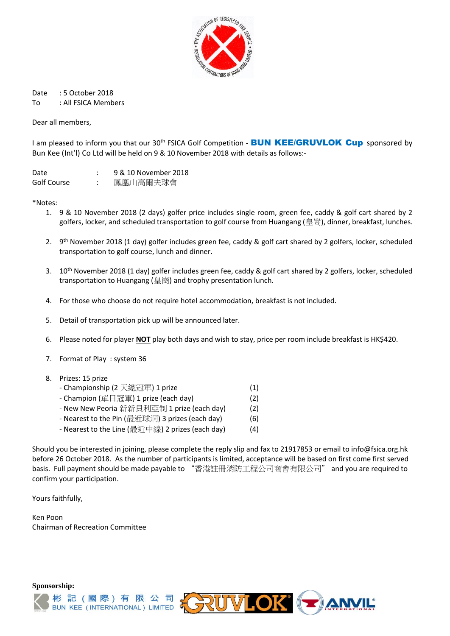

Date : 5 October 2018 To : All FSICA Members

Dear all members,

I am pleased to inform you that our 30<sup>th</sup> FSICA Golf Competition - **BUN KEE/GRUVLOK Cup** sponsored by Bun Kee (Int'l) Co Ltd will be held on 9 & 10 November 2018 with details as follows:-

| Date        | 9 & 10 November 2018 |
|-------------|----------------------|
| Golf Course | 鳳凰山高爾夫球會             |

\*Notes:

- 1. 9 & 10 November 2018 (2 days) golfer price includes single room, green fee, caddy & golf cart shared by 2 golfers, locker, and scheduled transportation to golf course from Huangang (皇崗), dinner, breakfast, lunches.
- 2. 9<sup>th</sup> November 2018 (1 day) golfer includes green fee, caddy & golf cart shared by 2 golfers, locker, scheduled transportation to golf course, lunch and dinner.
- 3. 10th November 2018 (1 day) golfer includes green fee, caddy & golf cart shared by 2 golfers, locker, scheduled transportation to Huangang (皇崗) and trophy presentation lunch.
- 4. For those who choose do not require hotel accommodation, breakfast is not included.
- 5. Detail of transportation pick up will be announced later.
- 6. Please noted for player **NOT** play both days and wish to stay, price per room include breakfast is HK\$420.
- 7. Format of Play : system 36
- 8. Prizes: 15 prize
	- Championship (2 天總冠軍) 1 prize (1)
	- Champion (單日冠軍) 1 prize (each day)  $(2)$
	- New New Peoria 新新貝利亞制 1 prize (each day) (2)
	- Nearest to the Pin (最近球洞) 3 prizes (each day) (6)
	- Nearest to the Line (最近中線) 2 prizes (each day) (4)

Should you be interested in joining, please complete the reply slip and fax to 21917853 or email to info@fsica.org.hk before 26 October 2018. As the number of participants is limited, acceptance will be based on first come first served basis. Full payment should be made payable to "香港註冊消防工程公司商會有限公司" and you are required to confirm your participation.

Yours faithfully,

Ken Poon Chairman of Recreation Committee

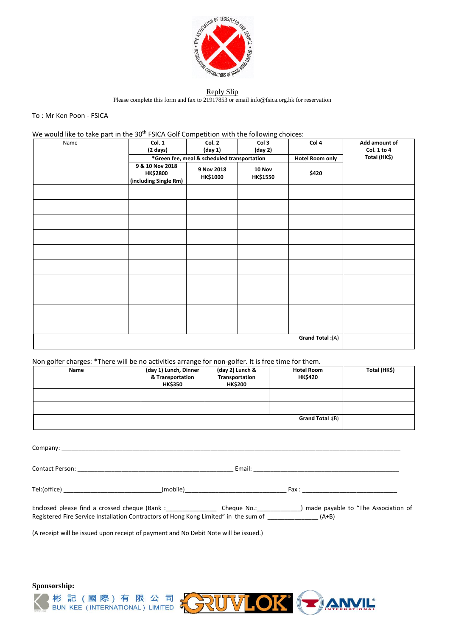

## Reply Slip

Please complete this form and fax to 21917853 or emai[l info@fsica.org.hk](mailto:info@fsica.org.hk) for reservation

## To : Mr Ken Poon - FSICA

We would like to take part in the 30<sup>th</sup> FSICA Golf Competition with the following choices:

| Name | Col. 1                                                      | Col. 2                                      | Col 3                     | Col 4                   | Add amount of |
|------|-------------------------------------------------------------|---------------------------------------------|---------------------------|-------------------------|---------------|
|      | $(2 \text{ days})$                                          | (day 1)                                     | (day 2)                   |                         | Col. 1 to 4   |
|      |                                                             | *Green fee, meal & scheduled transportation |                           | <b>Hotel Room only</b>  | Total (HK\$)  |
|      | 9 & 10 Nov 2018<br><b>HK\$2800</b><br>(including Single Rm) | 9 Nov 2018<br>HK\$1000                      | 10 Nov<br><b>HK\$1550</b> | \$420                   |               |
|      |                                                             |                                             |                           |                         |               |
|      |                                                             |                                             |                           |                         |               |
|      |                                                             |                                             |                           |                         |               |
|      |                                                             |                                             |                           |                         |               |
|      |                                                             |                                             |                           |                         |               |
|      |                                                             |                                             |                           |                         |               |
|      |                                                             |                                             |                           |                         |               |
|      |                                                             |                                             |                           |                         |               |
|      |                                                             |                                             |                           |                         |               |
|      |                                                             |                                             |                           |                         |               |
|      |                                                             |                                             |                           | <b>Grand Total:</b> (A) |               |

Non golfer charges: \*There will be no activities arrange for non-golfer. It is free time for them.

| Name | (day 1) Lunch, Dinner<br>& Transportation<br><b>HK\$350</b> | (day 2) Lunch &<br>Transportation<br><b>HK\$200</b> | <b>Hotel Room</b><br><b>HK\$420</b> | Total (HK\$) |
|------|-------------------------------------------------------------|-----------------------------------------------------|-------------------------------------|--------------|
|      |                                                             |                                                     |                                     |              |
|      |                                                             |                                                     |                                     |              |
|      |                                                             |                                                     | (B): Grand Total                    |              |

|                                                                                              | (mobile) |                                                                                                |
|----------------------------------------------------------------------------------------------|----------|------------------------------------------------------------------------------------------------|
| Registered Fire Service Installation Contractors of Hong Kong Limited" in the sum of $(A+B)$ |          | Enclosed please find a crossed cheque (Bank: Cheque No.: ) made payable to "The Association of |

(A receipt will be issued upon receipt of payment and No Debit Note will be issued.)